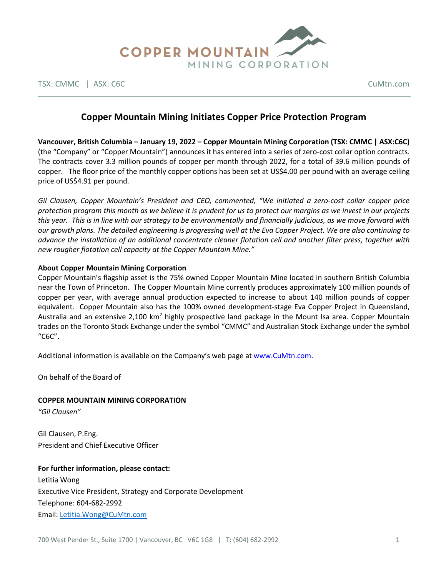

TSX: CMMC | ASX: C6C CuMtn.com

# **Copper Mountain Mining Initiates Copper Price Protection Program**

**Vancouver, British Columbia – January 19, 2022 – Copper Mountain Mining Corporation (TSX: CMMC | ASX:C6C)**  (the "Company" or "Copper Mountain") announces it has entered into a series of zero-cost collar option contracts. The contracts cover 3.3 million pounds of copper per month through 2022, for a total of 39.6 million pounds of copper. The floor price of the monthly copper options has been set at US\$4.00 per pound with an average ceiling price of US\$4.91 per pound.

*Gil Clausen, Copper Mountain's President and CEO, commented, "We initiated a zero-cost collar copper price protection program this month as we believe it is prudent for us to protect our margins as we invest in our projects this year. This is in line with our strategy to be environmentally and financially judicious, as we move forward with our growth plans. The detailed engineering is progressing well at the Eva Copper Project. We are also continuing to advance the installation of an additional concentrate cleaner flotation cell and another filter press, together with new rougher flotation cell capacity at the Copper Mountain Mine."*

#### **About Copper Mountain Mining Corporation**

Copper Mountain's flagship asset is the 75% owned Copper Mountain Mine located in southern British Columbia near the Town of Princeton. The Copper Mountain Mine currently produces approximately 100 million pounds of copper per year, with average annual production expected to increase to about 140 million pounds of copper equivalent. Copper Mountain also has the 100% owned development-stage Eva Copper Project in Queensland, Australia and an extensive 2,100 km<sup>2</sup> highly prospective land package in the Mount Isa area. Copper Mountain trades on the Toronto Stock Exchange under the symbol "CMMC" and Australian Stock Exchange under the symbol "C6C".

Additional information is available on the Company's web page at www.CuMtn.com.

On behalf of the Board of

## **COPPER MOUNTAIN MINING CORPORATION**

*"Gil Clausen"*

Gil Clausen, P.Eng. President and Chief Executive Officer

## **For further information, please contact:**

Letitia Wong Executive Vice President, Strategy and Corporate Development Telephone: 604-682-2992 Email: [Letitia.Wong@CuMtn.com](mailto:Letitia.Wong@CuMtn.com)